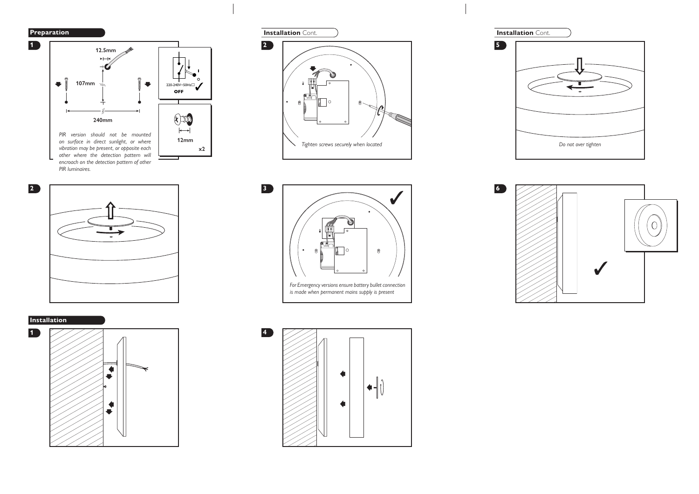

**1**